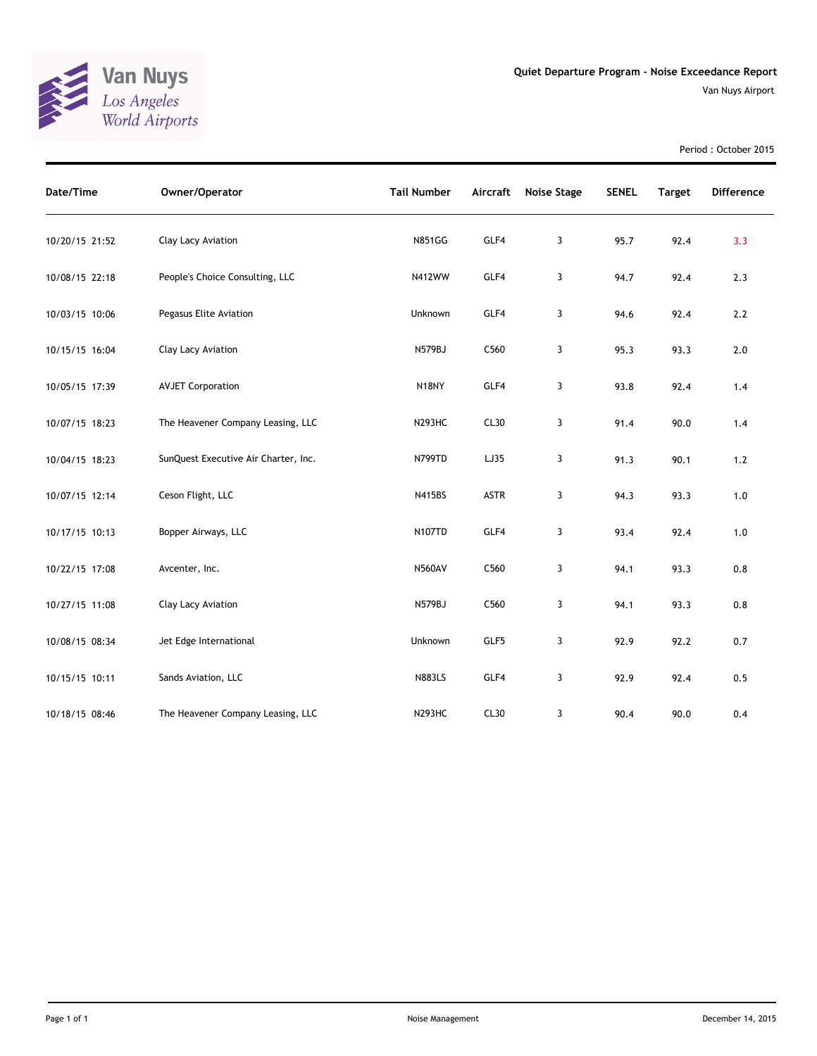

Van Nuys Airport

Period : October 2015

| Date/Time      | Owner/Operator                       | <b>Tail Number</b> |      | Aircraft Noise Stage | <b>SENEL</b> | <b>Target</b> | <b>Difference</b> |
|----------------|--------------------------------------|--------------------|------|----------------------|--------------|---------------|-------------------|
| 10/20/15 21:52 | Clay Lacy Aviation                   | <b>N851GG</b>      | GLF4 | 3                    | 95.7         | 92.4          | 3.3               |
| 10/08/15 22:18 | People's Choice Consulting, LLC      | N412WW             | GLF4 | 3                    | 94.7         | 92.4          | 2.3               |
| 10/03/15 10:06 | Pegasus Elite Aviation               | Unknown            | GLF4 | 3                    | 94.6         | 92.4          | 2.2               |
| 10/15/15 16:04 | Clay Lacy Aviation                   | N579BJ             | C560 | 3                    | 95.3         | 93.3          | 2.0               |
| 10/05/15 17:39 | <b>AVJET Corporation</b>             | N18NY              | GLF4 | 3                    | 93.8         | 92.4          | 1.4               |
| 10/07/15 18:23 | The Heavener Company Leasing, LLC    | <b>N293HC</b>      | CL30 | 3                    | 91.4         | 90.0          | 1.4               |
| 10/04/15 18:23 | SunQuest Executive Air Charter, Inc. | N799TD             | LJ35 | 3                    | 91.3         | 90.1          | $1.2$             |
| 10/07/15 12:14 | Ceson Flight, LLC                    | N415BS             | ASTR | 3                    | 94.3         | 93.3          | $1.0$             |
| 10/17/15 10:13 | Bopper Airways, LLC                  | <b>N107TD</b>      | GLF4 | 3                    | 93.4         | 92.4          | 1.0               |
| 10/22/15 17:08 | Avcenter, Inc.                       | <b>N560AV</b>      | C560 | 3                    | 94.1         | 93.3          | 0.8               |
| 10/27/15 11:08 | Clay Lacy Aviation                   | N579BJ             | C560 | 3                    | 94.1         | 93.3          | 0.8               |
| 10/08/15 08:34 | Jet Edge International               | Unknown            | GLF5 | 3                    | 92.9         | 92.2          | 0.7               |
| 10/15/15 10:11 | Sands Aviation, LLC                  | <b>N883LS</b>      | GLF4 | 3                    | 92.9         | 92.4          | 0.5               |
| 10/18/15 08:46 | The Heavener Company Leasing, LLC    | <b>N293HC</b>      | CL30 | 3                    | 90.4         | 90.0          | 0.4               |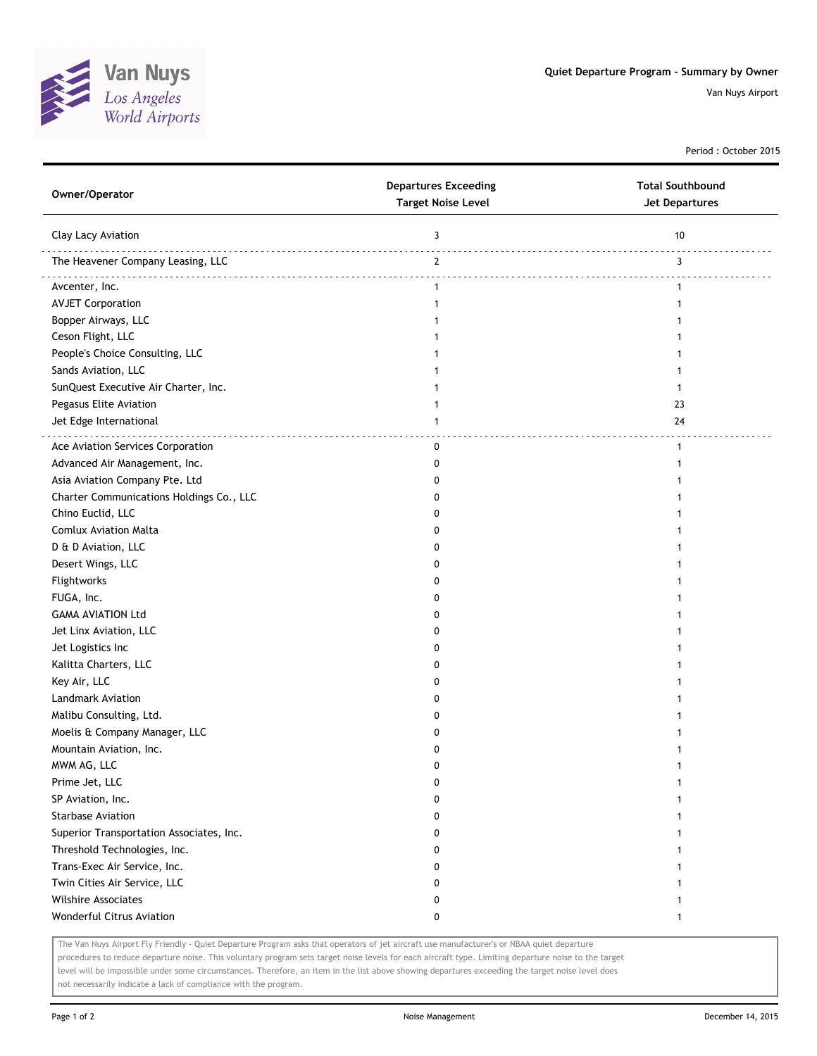

Van Nuys Airport

Period : October 2015

| Owner/Operator                           | <b>Departures Exceeding</b><br><b>Target Noise Level</b> | <b>Total Southbound</b><br><b>Jet Departures</b> |
|------------------------------------------|----------------------------------------------------------|--------------------------------------------------|
| Clay Lacy Aviation                       | 3                                                        | 10                                               |
| The Heavener Company Leasing, LLC        | $\mathbf{2}$                                             | 3                                                |
| Avcenter, Inc.                           | $\mathbf{1}$                                             | $\mathbf{1}$                                     |
| <b>AVJET Corporation</b>                 | $\mathbf{1}$                                             | 1                                                |
| Bopper Airways, LLC                      | 1                                                        |                                                  |
| Ceson Flight, LLC                        | 1                                                        |                                                  |
| People's Choice Consulting, LLC          |                                                          |                                                  |
| Sands Aviation, LLC                      |                                                          |                                                  |
| SunQuest Executive Air Charter, Inc.     |                                                          |                                                  |
| Pegasus Elite Aviation                   |                                                          | 23                                               |
| Jet Edge International                   | 1                                                        | 24                                               |
| Ace Aviation Services Corporation        | $\mathbf 0$                                              | $\mathbf{1}$                                     |
| Advanced Air Management, Inc.            | 0                                                        | 1                                                |
| Asia Aviation Company Pte. Ltd           | 0                                                        |                                                  |
| Charter Communications Holdings Co., LLC | 0                                                        |                                                  |
| Chino Euclid, LLC                        | 0                                                        |                                                  |
| <b>Comlux Aviation Malta</b>             | 0                                                        |                                                  |
| D & D Aviation, LLC                      | 0                                                        |                                                  |
| Desert Wings, LLC                        | 0                                                        |                                                  |
| Flightworks                              | 0                                                        |                                                  |
| FUGA, Inc.                               | 0                                                        |                                                  |
| <b>GAMA AVIATION Ltd</b>                 | 0                                                        |                                                  |
| Jet Linx Aviation, LLC                   | 0                                                        |                                                  |
| Jet Logistics Inc                        | 0                                                        |                                                  |
| Kalitta Charters, LLC                    | 0                                                        |                                                  |
| Key Air, LLC                             | 0                                                        |                                                  |
| <b>Landmark Aviation</b>                 | 0                                                        |                                                  |
| Malibu Consulting, Ltd.                  | 0                                                        |                                                  |
| Moelis & Company Manager, LLC            | 0                                                        |                                                  |
| Mountain Aviation, Inc.                  | 0                                                        |                                                  |
| MWM AG, LLC                              | $\Omega$                                                 |                                                  |
| Prime Jet, LLC                           | 0                                                        | 1                                                |
| SP Aviation, Inc.                        | 0                                                        | 1                                                |
| <b>Starbase Aviation</b>                 | 0                                                        | 1                                                |
| Superior Transportation Associates, Inc. | 0                                                        |                                                  |
| Threshold Technologies, Inc.             | 0                                                        |                                                  |
| Trans-Exec Air Service, Inc.             | 0                                                        |                                                  |
| Twin Cities Air Service, LLC             | 0                                                        |                                                  |
| <b>Wilshire Associates</b>               | 0                                                        |                                                  |
| <b>Wonderful Citrus Aviation</b>         | 0                                                        | $\mathbf{1}$                                     |

The Van Nuys Airport Fly Friendly - Quiet Departure Program asks that operators of jet aircraft use manufacturer's or NBAA quiet departure

procedures to reduce departure noise. This voluntary program sets target noise levels for each aircraft type. Limiting departure noise to the target level will be impossible under some circumstances. Therefore, an item in the list above showing departures exceeding the target noise level does not necessarily indicate a lack of compliance with the program.